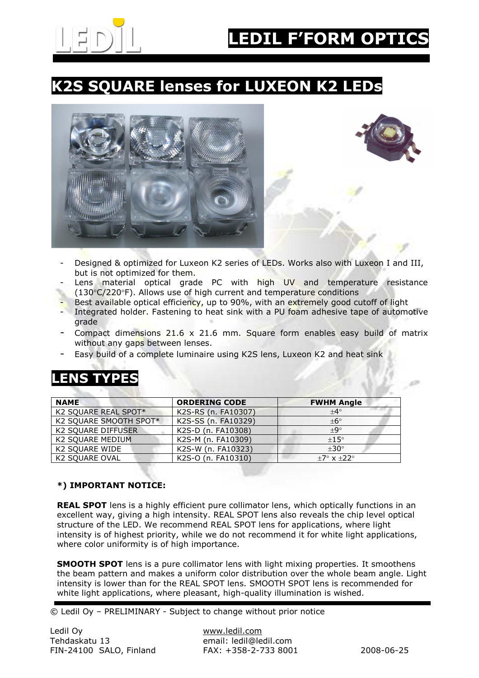

## K2S SQUARE lenses for LUXEON K2 LEDs



- Designed & optimized for Luxeon K2 series of LEDs. Works also with Luxeon I and III, but is not optimized for them.
- Lens material optical grade PC with high UV and temperature resistance (130°C/220°F). Allows use of high current and temperature conditions
- Best available optical efficiency, up to 90%, with an extremely good cutoff of light
- Integrated holder. Fastening to heat sink with a PU foam adhesive tape of automotive grade
- Compact dimensions 21.6  $\times$  21.6 mm. Square form enables easy build of matrix without any gaps between lenses.
- Easy build of a complete luminaire using K2S lens, Luxeon K2 and heat sink

## LENS TYPES

| <b>NAME</b>               | <b>ORDERING CODE</b> | <b>FWHM Angle</b>        |
|---------------------------|----------------------|--------------------------|
| K2 SQUARE REAL SPOT*      | K2S-RS (n. FA10307)  | $+4^{\circ}$             |
| K2 SQUARE SMOOTH SPOT*    | K2S-SS (n. FA10329)  | $+6^{\circ}$             |
| <b>K2 SQUARE DIFFUSER</b> | K2S-D (n. FA10308)   | $+9^\circ$               |
| K2 SQUARE MEDIUM          | K2S-M (n. FA10309)   | $+1.5^\circ$             |
| K2 SQUARE WIDE            | K2S-W (n. FA10323)   | $+30^\circ$              |
| <b>K2 SQUARE OVAL</b>     | K2S-O (n. FA10310)   | $+7^\circ$ x $+22^\circ$ |

#### \*) IMPORTANT NOTICE:

**REAL SPOT** lens is a highly efficient pure collimator lens, which optically functions in an excellent way, giving a high intensity. REAL SPOT lens also reveals the chip level optical structure of the LED. We recommend REAL SPOT lens for applications, where light intensity is of highest priority, while we do not recommend it for white light applications, where color uniformity is of high importance.

**SMOOTH SPOT** lens is a pure collimator lens with light mixing properties. It smoothens the beam pattern and makes a uniform color distribution over the whole beam angle. Light intensity is lower than for the REAL SPOT lens. SMOOTH SPOT lens is recommended for white light applications, where pleasant, high-quality illumination is wished.

© Ledil Oy – PRELIMINARY - Subject to change without prior notice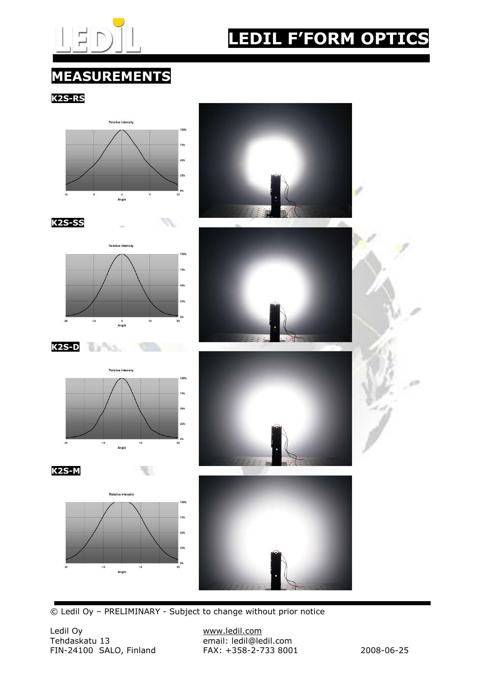

# LEDIL F'FORM OPTICS

## MEASUREMENTS

K2S-RS





K2S-D



Public Libraries

Angle













© Ledil Oy – PRELIMINARY - Subject to change without prior notice

.<br>Shi .<br>Sons 25%

Ledil Oy www.ledil.com FIN-24100 SALO, Finland FAX: +358-2-733 8001 2008-06-25

email: ledil@ledil.com<br>FAX: +358-2-733 8001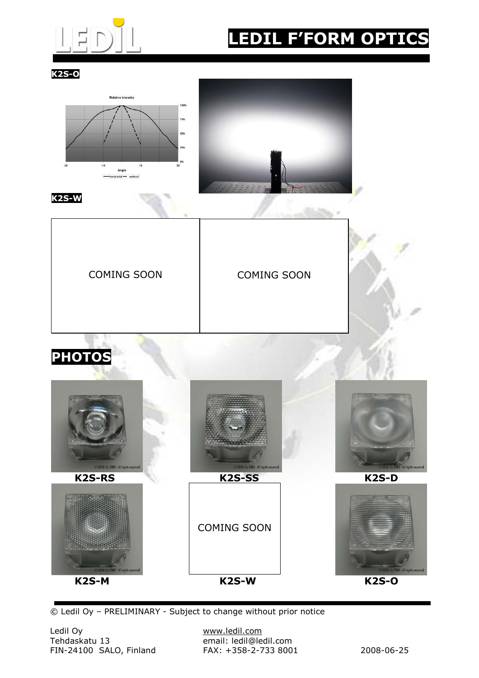

# LEDIL F'FORM OPTICS

#### K2S-O









© Ledil Oy – PRELIMINARY - Subject to change without prior notice

email: ledil@ledil.com<br>FAX: +358-2-733 8001